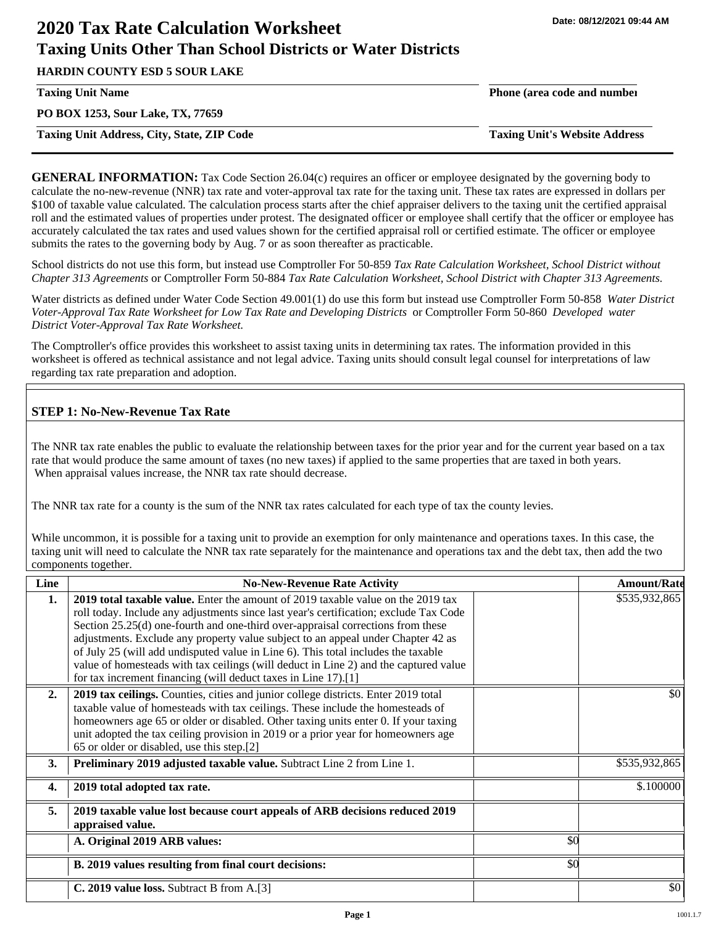# **2020 Tax Rate Calculation Worksheet Taxing Units Other Than School Districts or Water Districts**

**HARDIN COUNTY ESD 5 SOUR LAKE**

**PO BOX 1253, Sour Lake, TX, 77659**

**Taxing Unit Address, City, State, ZIP Code Taxing Unit's Website Address**

**Taxing Unit Name Phone (area code and number**

**GENERAL INFORMATION:** Tax Code Section 26.04(c) requires an officer or employee designated by the governing body to calculate the no-new-revenue (NNR) tax rate and voter-approval tax rate for the taxing unit. These tax rates are expressed in dollars per \$100 of taxable value calculated. The calculation process starts after the chief appraiser delivers to the taxing unit the certified appraisal roll and the estimated values of properties under protest. The designated officer or employee shall certify that the officer or employee has accurately calculated the tax rates and used values shown for the certified appraisal roll or certified estimate. The officer or employee submits the rates to the governing body by Aug. 7 or as soon thereafter as practicable.

School districts do not use this form, but instead use Comptroller For 50-859 *Tax Rate Calculation Worksheet, School District without Chapter 313 Agreements* or Comptroller Form 50-884 *Tax Rate Calculation Worksheet, School District with Chapter 313 Agreements.*

Water districts as defined under Water Code Section 49.001(1) do use this form but instead use Comptroller Form 50-858 *Water District Voter-Approval Tax Rate Worksheet for Low Tax Rate and Developing Districts* or Comptroller Form 50-860 *Developed water District Voter-Approval Tax Rate Worksheet.*

The Comptroller's office provides this worksheet to assist taxing units in determining tax rates. The information provided in this worksheet is offered as technical assistance and not legal advice. Taxing units should consult legal counsel for interpretations of law regarding tax rate preparation and adoption.

## **STEP 1: No-New-Revenue Tax Rate**

The NNR tax rate enables the public to evaluate the relationship between taxes for the prior year and for the current year based on a tax rate that would produce the same amount of taxes (no new taxes) if applied to the same properties that are taxed in both years. When appraisal values increase, the NNR tax rate should decrease.

The NNR tax rate for a county is the sum of the NNR tax rates calculated for each type of tax the county levies.

While uncommon, it is possible for a taxing unit to provide an exemption for only maintenance and operations taxes. In this case, the taxing unit will need to calculate the NNR tax rate separately for the maintenance and operations tax and the debt tax, then add the two components together.

| Line             | <b>No-New-Revenue Rate Activity</b>                                                                                                                                                                                                                                                                                                                                                                                                                                                                                                                                                                    |     | <b>Amount/Rate</b> |
|------------------|--------------------------------------------------------------------------------------------------------------------------------------------------------------------------------------------------------------------------------------------------------------------------------------------------------------------------------------------------------------------------------------------------------------------------------------------------------------------------------------------------------------------------------------------------------------------------------------------------------|-----|--------------------|
| 1.               | <b>2019 total taxable value.</b> Enter the amount of 2019 taxable value on the 2019 tax<br>roll today. Include any adjustments since last year's certification; exclude Tax Code<br>Section 25.25(d) one-fourth and one-third over-appraisal corrections from these<br>adjustments. Exclude any property value subject to an appeal under Chapter 42 as<br>of July 25 (will add undisputed value in Line 6). This total includes the taxable<br>value of homesteads with tax ceilings (will deduct in Line 2) and the captured value<br>for tax increment financing (will deduct taxes in Line 17).[1] |     | \$535,932,865      |
| 2.               | 2019 tax ceilings. Counties, cities and junior college districts. Enter 2019 total<br>taxable value of homesteads with tax ceilings. These include the homesteads of<br>homeowners age 65 or older or disabled. Other taxing units enter 0. If your taxing<br>unit adopted the tax ceiling provision in 2019 or a prior year for homeowners age<br>65 or older or disabled, use this step.[2]                                                                                                                                                                                                          |     | \$0                |
| 3.               | Preliminary 2019 adjusted taxable value. Subtract Line 2 from Line 1.                                                                                                                                                                                                                                                                                                                                                                                                                                                                                                                                  |     | \$535,932,865      |
| $\overline{4}$ . | 2019 total adopted tax rate.                                                                                                                                                                                                                                                                                                                                                                                                                                                                                                                                                                           |     | \$.100000          |
| 5.               | 2019 taxable value lost because court appeals of ARB decisions reduced 2019<br>appraised value.                                                                                                                                                                                                                                                                                                                                                                                                                                                                                                        |     |                    |
|                  | A. Original 2019 ARB values:                                                                                                                                                                                                                                                                                                                                                                                                                                                                                                                                                                           | \$0 |                    |
|                  | B. 2019 values resulting from final court decisions:                                                                                                                                                                                                                                                                                                                                                                                                                                                                                                                                                   | \$0 |                    |
|                  | C. 2019 value loss. Subtract B from A.[3]                                                                                                                                                                                                                                                                                                                                                                                                                                                                                                                                                              |     | \$0                |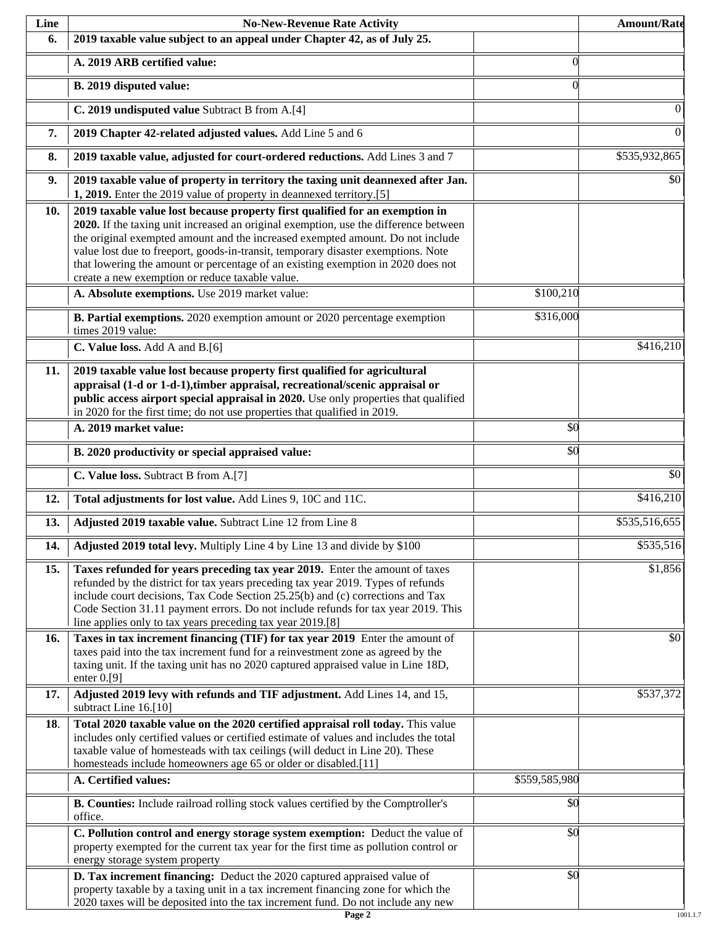| Line | <b>No-New-Revenue Rate Activity</b>                                                                                                                                                                                                                                                                                                                                                                                                                                                |               | <b>Amount/Rate</b> |
|------|------------------------------------------------------------------------------------------------------------------------------------------------------------------------------------------------------------------------------------------------------------------------------------------------------------------------------------------------------------------------------------------------------------------------------------------------------------------------------------|---------------|--------------------|
| 6.   | 2019 taxable value subject to an appeal under Chapter 42, as of July 25.                                                                                                                                                                                                                                                                                                                                                                                                           |               |                    |
|      | A. 2019 ARB certified value:                                                                                                                                                                                                                                                                                                                                                                                                                                                       | $\Omega$      |                    |
|      | B. 2019 disputed value:                                                                                                                                                                                                                                                                                                                                                                                                                                                            | $\Omega$      |                    |
|      | C. 2019 undisputed value Subtract B from A.[4]                                                                                                                                                                                                                                                                                                                                                                                                                                     |               | 0                  |
| 7.   | 2019 Chapter 42-related adjusted values. Add Line 5 and 6                                                                                                                                                                                                                                                                                                                                                                                                                          |               | $\boldsymbol{0}$   |
| 8.   | 2019 taxable value, adjusted for court-ordered reductions. Add Lines 3 and 7                                                                                                                                                                                                                                                                                                                                                                                                       |               | \$535,932,865      |
| 9.   | 2019 taxable value of property in territory the taxing unit deannexed after Jan.<br>1, 2019. Enter the 2019 value of property in deannexed territory.[5]                                                                                                                                                                                                                                                                                                                           |               | \$0                |
| 10.  | 2019 taxable value lost because property first qualified for an exemption in<br>2020. If the taxing unit increased an original exemption, use the difference between<br>the original exempted amount and the increased exempted amount. Do not include<br>value lost due to freeport, goods-in-transit, temporary disaster exemptions. Note<br>that lowering the amount or percentage of an existing exemption in 2020 does not<br>create a new exemption or reduce taxable value. |               |                    |
|      | A. Absolute exemptions. Use 2019 market value:                                                                                                                                                                                                                                                                                                                                                                                                                                     | \$100,210     |                    |
|      | B. Partial exemptions. 2020 exemption amount or 2020 percentage exemption<br>times 2019 value:                                                                                                                                                                                                                                                                                                                                                                                     | \$316,000     |                    |
|      | C. Value loss. Add A and B.[6]                                                                                                                                                                                                                                                                                                                                                                                                                                                     |               | \$416,210          |
| 11.  | 2019 taxable value lost because property first qualified for agricultural<br>appraisal (1-d or 1-d-1), timber appraisal, recreational/scenic appraisal or<br>public access airport special appraisal in 2020. Use only properties that qualified<br>in 2020 for the first time; do not use properties that qualified in 2019.                                                                                                                                                      |               |                    |
|      | A. 2019 market value:                                                                                                                                                                                                                                                                                                                                                                                                                                                              | \$0           |                    |
|      | B. 2020 productivity or special appraised value:                                                                                                                                                                                                                                                                                                                                                                                                                                   | \$0           |                    |
|      | C. Value loss. Subtract B from A.[7]                                                                                                                                                                                                                                                                                                                                                                                                                                               |               | $\overline{50}$    |
| 12.  | Total adjustments for lost value. Add Lines 9, 10C and 11C.                                                                                                                                                                                                                                                                                                                                                                                                                        |               | \$416,210          |
| 13.  | Adjusted 2019 taxable value. Subtract Line 12 from Line 8                                                                                                                                                                                                                                                                                                                                                                                                                          |               | \$535,516,655      |
| 14.  | Adjusted 2019 total levy. Multiply Line 4 by Line 13 and divide by \$100                                                                                                                                                                                                                                                                                                                                                                                                           |               | \$535,516          |
| 15.  | Taxes refunded for years preceding tax year 2019. Enter the amount of taxes<br>refunded by the district for tax years preceding tax year 2019. Types of refunds<br>include court decisions, Tax Code Section 25.25(b) and (c) corrections and Tax<br>Code Section 31.11 payment errors. Do not include refunds for tax year 2019. This<br>line applies only to tax years preceding tax year 2019.[8]                                                                               |               | \$1,856            |
| 16.  | Taxes in tax increment financing (TIF) for tax year 2019 Enter the amount of<br>taxes paid into the tax increment fund for a reinvestment zone as agreed by the<br>taxing unit. If the taxing unit has no 2020 captured appraised value in Line 18D,<br>enter $0.9$ ]                                                                                                                                                                                                              |               | \$0                |
| 17.  | Adjusted 2019 levy with refunds and TIF adjustment. Add Lines 14, and 15,<br>subtract Line 16.[10]                                                                                                                                                                                                                                                                                                                                                                                 |               | \$537,372          |
| 18.  | Total 2020 taxable value on the 2020 certified appraisal roll today. This value<br>includes only certified values or certified estimate of values and includes the total<br>taxable value of homesteads with tax ceilings (will deduct in Line 20). These<br>homesteads include homeowners age 65 or older or disabled.[11]                                                                                                                                                        |               |                    |
|      | A. Certified values:                                                                                                                                                                                                                                                                                                                                                                                                                                                               | \$559,585,980 |                    |
|      | B. Counties: Include railroad rolling stock values certified by the Comptroller's<br>office.                                                                                                                                                                                                                                                                                                                                                                                       | \$0           |                    |
|      | C. Pollution control and energy storage system exemption: Deduct the value of<br>property exempted for the current tax year for the first time as pollution control or<br>energy storage system property                                                                                                                                                                                                                                                                           | \$0           |                    |
|      | D. Tax increment financing: Deduct the 2020 captured appraised value of<br>property taxable by a taxing unit in a tax increment financing zone for which the<br>2020 taxes will be deposited into the tax increment fund. Do not include any new                                                                                                                                                                                                                                   | \$0           |                    |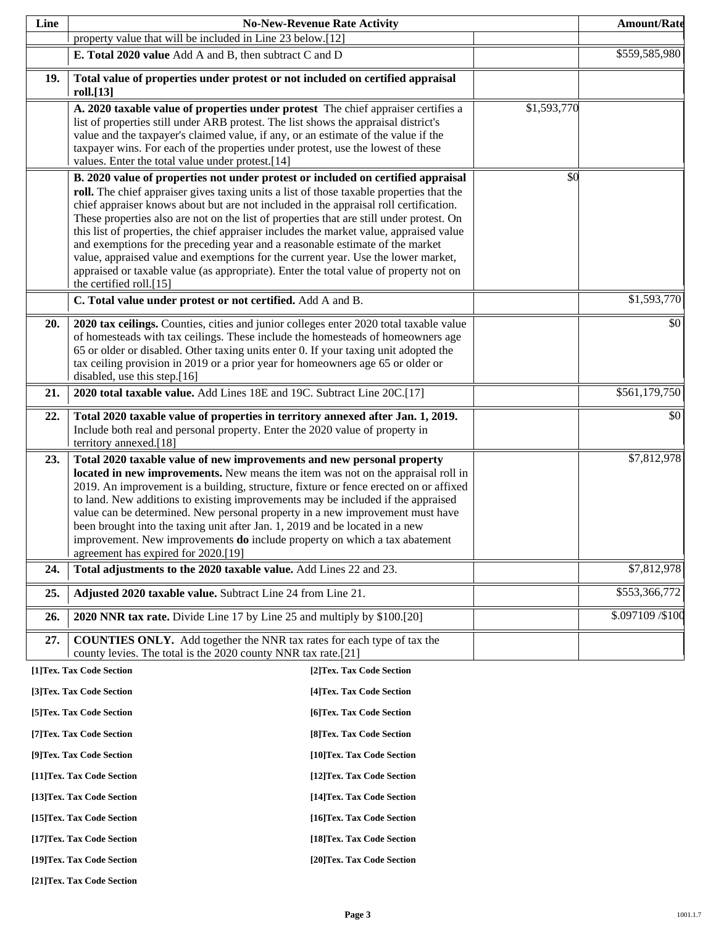| Line                                                     |                                                                                                                                                                              | <b>No-New-Revenue Rate Activity</b> |             | <b>Amount/Rate</b> |
|----------------------------------------------------------|------------------------------------------------------------------------------------------------------------------------------------------------------------------------------|-------------------------------------|-------------|--------------------|
|                                                          | property value that will be included in Line 23 below.[12]                                                                                                                   |                                     |             |                    |
|                                                          | E. Total 2020 value Add A and B, then subtract C and D                                                                                                                       |                                     |             | \$559,585,980      |
| 19.                                                      | Total value of properties under protest or not included on certified appraisal                                                                                               |                                     |             |                    |
|                                                          | roll.[13]                                                                                                                                                                    |                                     |             |                    |
|                                                          | A. 2020 taxable value of properties under protest The chief appraiser certifies a<br>list of properties still under ARB protest. The list shows the appraisal district's     |                                     | \$1,593,770 |                    |
|                                                          | value and the taxpayer's claimed value, if any, or an estimate of the value if the                                                                                           |                                     |             |                    |
|                                                          | taxpayer wins. For each of the properties under protest, use the lowest of these                                                                                             |                                     |             |                    |
|                                                          | values. Enter the total value under protest.[14]                                                                                                                             |                                     |             |                    |
|                                                          | B. 2020 value of properties not under protest or included on certified appraisal<br>roll. The chief appraiser gives taxing units a list of those taxable properties that the |                                     | \$0         |                    |
|                                                          | chief appraiser knows about but are not included in the appraisal roll certification.                                                                                        |                                     |             |                    |
|                                                          | These properties also are not on the list of properties that are still under protest. On                                                                                     |                                     |             |                    |
|                                                          | this list of properties, the chief appraiser includes the market value, appraised value<br>and exemptions for the preceding year and a reasonable estimate of the market     |                                     |             |                    |
|                                                          | value, appraised value and exemptions for the current year. Use the lower market,                                                                                            |                                     |             |                    |
|                                                          | appraised or taxable value (as appropriate). Enter the total value of property not on                                                                                        |                                     |             |                    |
|                                                          | the certified roll.[15]                                                                                                                                                      |                                     |             |                    |
|                                                          | C. Total value under protest or not certified. Add A and B.                                                                                                                  |                                     |             | \$1,593,770        |
| 20.                                                      | 2020 tax ceilings. Counties, cities and junior colleges enter 2020 total taxable value                                                                                       |                                     |             | \$0                |
|                                                          | of homesteads with tax ceilings. These include the homesteads of homeowners age<br>65 or older or disabled. Other taxing units enter 0. If your taxing unit adopted the      |                                     |             |                    |
|                                                          | tax ceiling provision in 2019 or a prior year for homeowners age 65 or older or                                                                                              |                                     |             |                    |
|                                                          | disabled, use this step.[16]                                                                                                                                                 |                                     |             |                    |
| 21.                                                      | 2020 total taxable value. Add Lines 18E and 19C. Subtract Line 20C.[17]                                                                                                      |                                     |             | \$561,179,750      |
| 22.                                                      | Total 2020 taxable value of properties in territory annexed after Jan. 1, 2019.                                                                                              |                                     |             | \$0                |
|                                                          | Include both real and personal property. Enter the 2020 value of property in<br>territory annexed.[18]                                                                       |                                     |             |                    |
| 23.                                                      | Total 2020 taxable value of new improvements and new personal property                                                                                                       |                                     |             | \$7,812,978        |
|                                                          | located in new improvements. New means the item was not on the appraisal roll in                                                                                             |                                     |             |                    |
|                                                          | 2019. An improvement is a building, structure, fixture or fence erected on or affixed                                                                                        |                                     |             |                    |
|                                                          | to land. New additions to existing improvements may be included if the appraised<br>value can be determined. New personal property in a new improvement must have            |                                     |             |                    |
|                                                          | been brought into the taxing unit after Jan. 1, 2019 and be located in a new                                                                                                 |                                     |             |                    |
|                                                          | improvement. New improvements <b>do</b> include property on which a tax abatement                                                                                            |                                     |             |                    |
| 24.                                                      | agreement has expired for 2020.[19]<br>Total adjustments to the 2020 taxable value. Add Lines 22 and 23.                                                                     |                                     |             | \$7,812,978        |
|                                                          |                                                                                                                                                                              |                                     |             |                    |
| 25.                                                      | Adjusted 2020 taxable value. Subtract Line 24 from Line 21.                                                                                                                  |                                     |             | \$553,366,772      |
| 26.                                                      | 2020 NNR tax rate. Divide Line 17 by Line 25 and multiply by \$100.[20]                                                                                                      |                                     |             | \$.097109 / \$100  |
| 27.                                                      | <b>COUNTIES ONLY.</b> Add together the NNR tax rates for each type of tax the<br>county levies. The total is the 2020 county NNR tax rate.[21]                               |                                     |             |                    |
|                                                          | [1]Tex. Tax Code Section                                                                                                                                                     | [2]Tex. Tax Code Section            |             |                    |
|                                                          | [3]Tex. Tax Code Section                                                                                                                                                     | [4] Tex. Tax Code Section           |             |                    |
|                                                          | [5] Tex. Tax Code Section                                                                                                                                                    | [6]Tex. Tax Code Section            |             |                    |
|                                                          | [7] Tex. Tax Code Section                                                                                                                                                    | [8] Tex. Tax Code Section           |             |                    |
|                                                          | [9]Tex. Tax Code Section                                                                                                                                                     | [10]Tex. Tax Code Section           |             |                    |
| [11] Tex. Tax Code Section<br>[12] Tex. Tax Code Section |                                                                                                                                                                              |                                     |             |                    |
|                                                          | [13] Tex. Tax Code Section<br>[14] Tex. Tax Code Section                                                                                                                     |                                     |             |                    |
|                                                          | [15] Tex. Tax Code Section                                                                                                                                                   | [16] Tex. Tax Code Section          |             |                    |
|                                                          | [17] Tex. Tax Code Section                                                                                                                                                   | [18] Tex. Tax Code Section          |             |                    |
|                                                          | [19]Tex. Tax Code Section                                                                                                                                                    | [20]Tex. Tax Code Section           |             |                    |

**[21]Tex. Tax Code Section**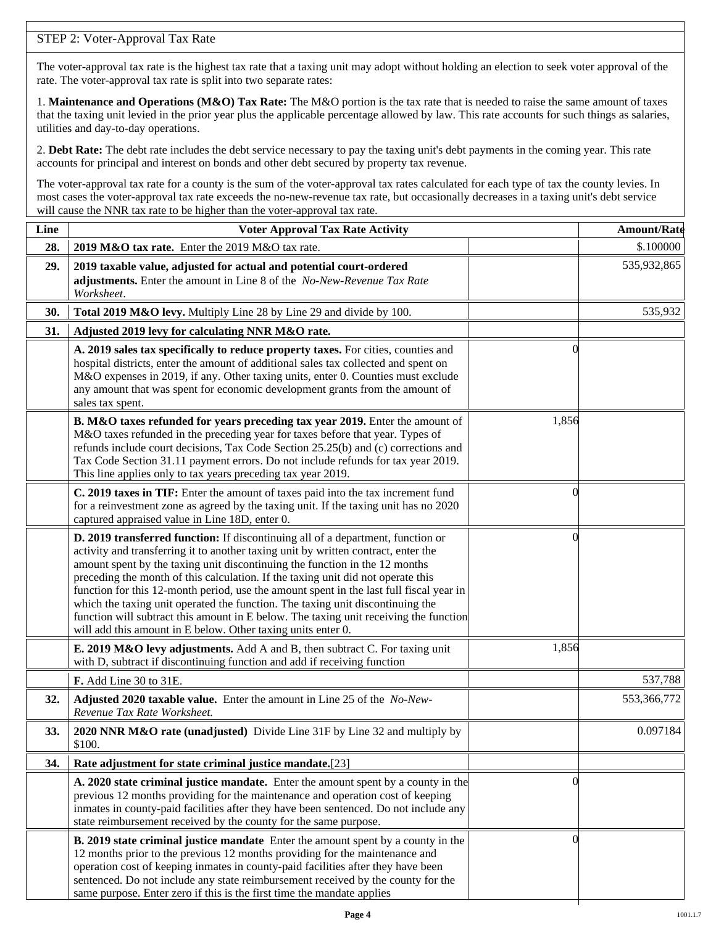### STEP 2: Voter-Approval Tax Rate

The voter-approval tax rate is the highest tax rate that a taxing unit may adopt without holding an election to seek voter approval of the rate. The voter-approval tax rate is split into two separate rates:

1. **Maintenance and Operations (M&O) Tax Rate:** The M&O portion is the tax rate that is needed to raise the same amount of taxes that the taxing unit levied in the prior year plus the applicable percentage allowed by law. This rate accounts for such things as salaries, utilities and day-to-day operations.

2. **Debt Rate:** The debt rate includes the debt service necessary to pay the taxing unit's debt payments in the coming year. This rate accounts for principal and interest on bonds and other debt secured by property tax revenue.

The voter-approval tax rate for a county is the sum of the voter-approval tax rates calculated for each type of tax the county levies. In most cases the voter-approval tax rate exceeds the no-new-revenue tax rate, but occasionally decreases in a taxing unit's debt service will cause the NNR tax rate to be higher than the voter-approval tax rate.

| Line | <b>Voter Approval Tax Rate Activity</b>                                                                                                                                                                                                                                                                                                                                                                                                                                                                                                                                                                                                                                        |                | <b>Amount/Rate</b> |
|------|--------------------------------------------------------------------------------------------------------------------------------------------------------------------------------------------------------------------------------------------------------------------------------------------------------------------------------------------------------------------------------------------------------------------------------------------------------------------------------------------------------------------------------------------------------------------------------------------------------------------------------------------------------------------------------|----------------|--------------------|
| 28.  | 2019 M&O tax rate. Enter the 2019 M&O tax rate.                                                                                                                                                                                                                                                                                                                                                                                                                                                                                                                                                                                                                                |                | \$.100000          |
| 29.  | 2019 taxable value, adjusted for actual and potential court-ordered<br>adjustments. Enter the amount in Line 8 of the No-New-Revenue Tax Rate<br>Worksheet.                                                                                                                                                                                                                                                                                                                                                                                                                                                                                                                    |                | 535,932,865        |
| 30.  | Total 2019 M&O levy. Multiply Line 28 by Line 29 and divide by 100.                                                                                                                                                                                                                                                                                                                                                                                                                                                                                                                                                                                                            |                | 535,932            |
| 31.  | Adjusted 2019 levy for calculating NNR M&O rate.                                                                                                                                                                                                                                                                                                                                                                                                                                                                                                                                                                                                                               |                |                    |
|      | A. 2019 sales tax specifically to reduce property taxes. For cities, counties and<br>hospital districts, enter the amount of additional sales tax collected and spent on<br>M&O expenses in 2019, if any. Other taxing units, enter 0. Counties must exclude<br>any amount that was spent for economic development grants from the amount of<br>sales tax spent.                                                                                                                                                                                                                                                                                                               | $\Omega$       |                    |
|      | B. M&O taxes refunded for years preceding tax year 2019. Enter the amount of<br>M&O taxes refunded in the preceding year for taxes before that year. Types of<br>refunds include court decisions, Tax Code Section 25.25(b) and (c) corrections and<br>Tax Code Section 31.11 payment errors. Do not include refunds for tax year 2019.<br>This line applies only to tax years preceding tax year 2019.                                                                                                                                                                                                                                                                        | 1,856          |                    |
|      | C. 2019 taxes in TIF: Enter the amount of taxes paid into the tax increment fund<br>for a reinvestment zone as agreed by the taxing unit. If the taxing unit has no 2020<br>captured appraised value in Line 18D, enter 0.                                                                                                                                                                                                                                                                                                                                                                                                                                                     | 0              |                    |
|      | D. 2019 transferred function: If discontinuing all of a department, function or<br>activity and transferring it to another taxing unit by written contract, enter the<br>amount spent by the taxing unit discontinuing the function in the 12 months<br>preceding the month of this calculation. If the taxing unit did not operate this<br>function for this 12-month period, use the amount spent in the last full fiscal year in<br>which the taxing unit operated the function. The taxing unit discontinuing the<br>function will subtract this amount in E below. The taxing unit receiving the function<br>will add this amount in E below. Other taxing units enter 0. | $\left($       |                    |
|      | E. 2019 M&O levy adjustments. Add A and B, then subtract C. For taxing unit<br>with D, subtract if discontinuing function and add if receiving function                                                                                                                                                                                                                                                                                                                                                                                                                                                                                                                        | 1,856          |                    |
|      | F. Add Line 30 to 31E.                                                                                                                                                                                                                                                                                                                                                                                                                                                                                                                                                                                                                                                         |                | 537,788            |
| 32.  | Adjusted 2020 taxable value. Enter the amount in Line 25 of the No-New-<br>Revenue Tax Rate Worksheet.                                                                                                                                                                                                                                                                                                                                                                                                                                                                                                                                                                         |                | 553,366,772        |
| 33.  | 2020 NNR M&O rate (unadjusted) Divide Line 31F by Line 32 and multiply by<br>\$100.                                                                                                                                                                                                                                                                                                                                                                                                                                                                                                                                                                                            |                | 0.097184           |
| 34.  | Rate adjustment for state criminal justice mandate.[23]                                                                                                                                                                                                                                                                                                                                                                                                                                                                                                                                                                                                                        |                |                    |
|      | A. 2020 state criminal justice mandate. Enter the amount spent by a county in the<br>previous 12 months providing for the maintenance and operation cost of keeping<br>inmates in county-paid facilities after they have been sentenced. Do not include any<br>state reimbursement received by the county for the same purpose.                                                                                                                                                                                                                                                                                                                                                | $\Omega$       |                    |
|      | <b>B. 2019 state criminal justice mandate</b> Enter the amount spent by a county in the<br>12 months prior to the previous 12 months providing for the maintenance and<br>operation cost of keeping inmates in county-paid facilities after they have been<br>sentenced. Do not include any state reimbursement received by the county for the<br>same purpose. Enter zero if this is the first time the mandate applies                                                                                                                                                                                                                                                       | $\overline{0}$ |                    |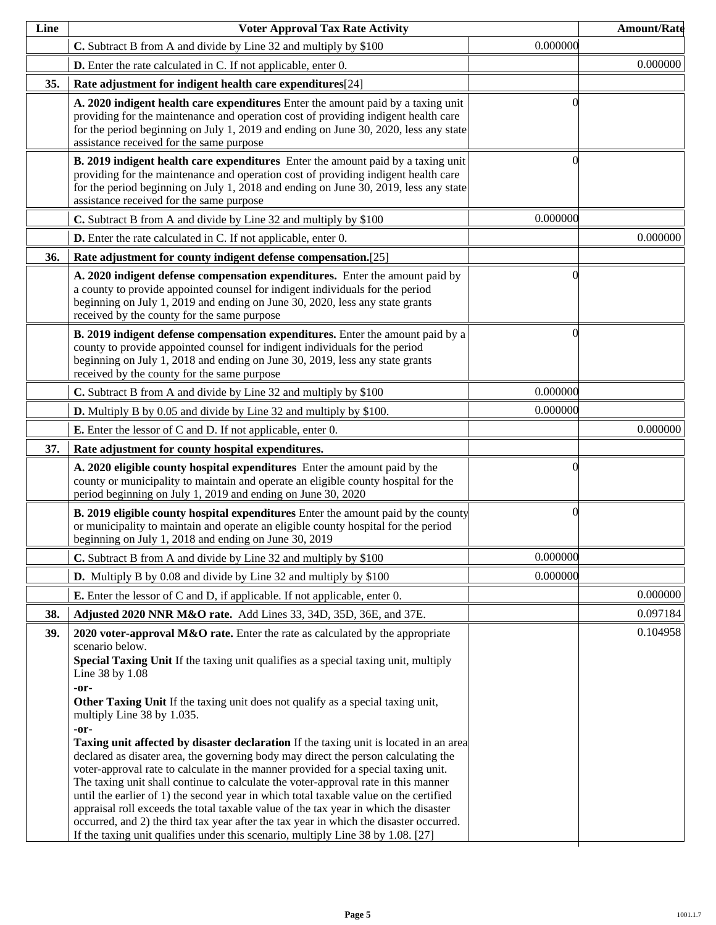| Line | <b>Voter Approval Tax Rate Activity</b>                                                                                                                                                                                                                                                                                                                                                                                                                                                                                                                                                                                                                                                                                                                                                                                                                                                                                                                                                                                                                                      |          | <b>Amount/Rate</b> |
|------|------------------------------------------------------------------------------------------------------------------------------------------------------------------------------------------------------------------------------------------------------------------------------------------------------------------------------------------------------------------------------------------------------------------------------------------------------------------------------------------------------------------------------------------------------------------------------------------------------------------------------------------------------------------------------------------------------------------------------------------------------------------------------------------------------------------------------------------------------------------------------------------------------------------------------------------------------------------------------------------------------------------------------------------------------------------------------|----------|--------------------|
|      | C. Subtract B from A and divide by Line 32 and multiply by \$100                                                                                                                                                                                                                                                                                                                                                                                                                                                                                                                                                                                                                                                                                                                                                                                                                                                                                                                                                                                                             | 0.000000 |                    |
|      | <b>D.</b> Enter the rate calculated in C. If not applicable, enter 0.                                                                                                                                                                                                                                                                                                                                                                                                                                                                                                                                                                                                                                                                                                                                                                                                                                                                                                                                                                                                        |          | 0.000000           |
| 35.  | Rate adjustment for indigent health care expenditures[24]                                                                                                                                                                                                                                                                                                                                                                                                                                                                                                                                                                                                                                                                                                                                                                                                                                                                                                                                                                                                                    |          |                    |
|      | A. 2020 indigent health care expenditures Enter the amount paid by a taxing unit<br>providing for the maintenance and operation cost of providing indigent health care<br>for the period beginning on July 1, 2019 and ending on June 30, 2020, less any state<br>assistance received for the same purpose                                                                                                                                                                                                                                                                                                                                                                                                                                                                                                                                                                                                                                                                                                                                                                   | ſ        |                    |
|      | B. 2019 indigent health care expenditures Enter the amount paid by a taxing unit<br>providing for the maintenance and operation cost of providing indigent health care<br>for the period beginning on July 1, 2018 and ending on June 30, 2019, less any state<br>assistance received for the same purpose                                                                                                                                                                                                                                                                                                                                                                                                                                                                                                                                                                                                                                                                                                                                                                   | 0        |                    |
|      | C. Subtract B from A and divide by Line 32 and multiply by \$100                                                                                                                                                                                                                                                                                                                                                                                                                                                                                                                                                                                                                                                                                                                                                                                                                                                                                                                                                                                                             | 0.000000 |                    |
|      | <b>D.</b> Enter the rate calculated in C. If not applicable, enter 0.                                                                                                                                                                                                                                                                                                                                                                                                                                                                                                                                                                                                                                                                                                                                                                                                                                                                                                                                                                                                        |          | 0.000000           |
| 36.  | Rate adjustment for county indigent defense compensation.[25]                                                                                                                                                                                                                                                                                                                                                                                                                                                                                                                                                                                                                                                                                                                                                                                                                                                                                                                                                                                                                |          |                    |
|      | A. 2020 indigent defense compensation expenditures. Enter the amount paid by<br>a county to provide appointed counsel for indigent individuals for the period<br>beginning on July 1, 2019 and ending on June 30, 2020, less any state grants<br>received by the county for the same purpose                                                                                                                                                                                                                                                                                                                                                                                                                                                                                                                                                                                                                                                                                                                                                                                 | 0        |                    |
|      | B. 2019 indigent defense compensation expenditures. Enter the amount paid by a<br>county to provide appointed counsel for indigent individuals for the period<br>beginning on July 1, 2018 and ending on June 30, 2019, less any state grants<br>received by the county for the same purpose                                                                                                                                                                                                                                                                                                                                                                                                                                                                                                                                                                                                                                                                                                                                                                                 | 0        |                    |
|      | C. Subtract B from A and divide by Line 32 and multiply by \$100                                                                                                                                                                                                                                                                                                                                                                                                                                                                                                                                                                                                                                                                                                                                                                                                                                                                                                                                                                                                             | 0.000000 |                    |
|      | <b>D.</b> Multiply B by 0.05 and divide by Line 32 and multiply by \$100.                                                                                                                                                                                                                                                                                                                                                                                                                                                                                                                                                                                                                                                                                                                                                                                                                                                                                                                                                                                                    | 0.000000 |                    |
|      | <b>E.</b> Enter the lessor of C and D. If not applicable, enter 0.                                                                                                                                                                                                                                                                                                                                                                                                                                                                                                                                                                                                                                                                                                                                                                                                                                                                                                                                                                                                           |          | 0.000000           |
| 37.  | Rate adjustment for county hospital expenditures.                                                                                                                                                                                                                                                                                                                                                                                                                                                                                                                                                                                                                                                                                                                                                                                                                                                                                                                                                                                                                            |          |                    |
|      | A. 2020 eligible county hospital expenditures Enter the amount paid by the<br>county or municipality to maintain and operate an eligible county hospital for the<br>period beginning on July 1, 2019 and ending on June 30, 2020                                                                                                                                                                                                                                                                                                                                                                                                                                                                                                                                                                                                                                                                                                                                                                                                                                             | 0        |                    |
|      | <b>B. 2019 eligible county hospital expenditures</b> Enter the amount paid by the county<br>or municipality to maintain and operate an eligible county hospital for the period<br>beginning on July 1, 2018 and ending on June 30, 2019                                                                                                                                                                                                                                                                                                                                                                                                                                                                                                                                                                                                                                                                                                                                                                                                                                      | $\Omega$ |                    |
|      | C. Subtract B from A and divide by Line 32 and multiply by \$100                                                                                                                                                                                                                                                                                                                                                                                                                                                                                                                                                                                                                                                                                                                                                                                                                                                                                                                                                                                                             | 0.000000 |                    |
|      | <b>D.</b> Multiply B by 0.08 and divide by Line 32 and multiply by \$100                                                                                                                                                                                                                                                                                                                                                                                                                                                                                                                                                                                                                                                                                                                                                                                                                                                                                                                                                                                                     | 0.000000 |                    |
|      | <b>E.</b> Enter the lessor of C and D, if applicable. If not applicable, enter 0.                                                                                                                                                                                                                                                                                                                                                                                                                                                                                                                                                                                                                                                                                                                                                                                                                                                                                                                                                                                            |          | 0.000000           |
| 38.  | Adjusted 2020 NNR M&O rate. Add Lines 33, 34D, 35D, 36E, and 37E.                                                                                                                                                                                                                                                                                                                                                                                                                                                                                                                                                                                                                                                                                                                                                                                                                                                                                                                                                                                                            |          | 0.097184           |
| 39.  | 2020 voter-approval M&O rate. Enter the rate as calculated by the appropriate<br>scenario below.<br>Special Taxing Unit If the taxing unit qualifies as a special taxing unit, multiply<br>Line 38 by 1.08<br>-or-<br>Other Taxing Unit If the taxing unit does not qualify as a special taxing unit,<br>multiply Line 38 by 1.035.<br>-or-<br><b>Taxing unit affected by disaster declaration</b> If the taxing unit is located in an area<br>declared as disater area, the governing body may direct the person calculating the<br>voter-approval rate to calculate in the manner provided for a special taxing unit.<br>The taxing unit shall continue to calculate the voter-approval rate in this manner<br>until the earlier of 1) the second year in which total taxable value on the certified<br>appraisal roll exceeds the total taxable value of the tax year in which the disaster<br>occurred, and 2) the third tax year after the tax year in which the disaster occurred.<br>If the taxing unit qualifies under this scenario, multiply Line 38 by 1.08. [27] |          | 0.104958           |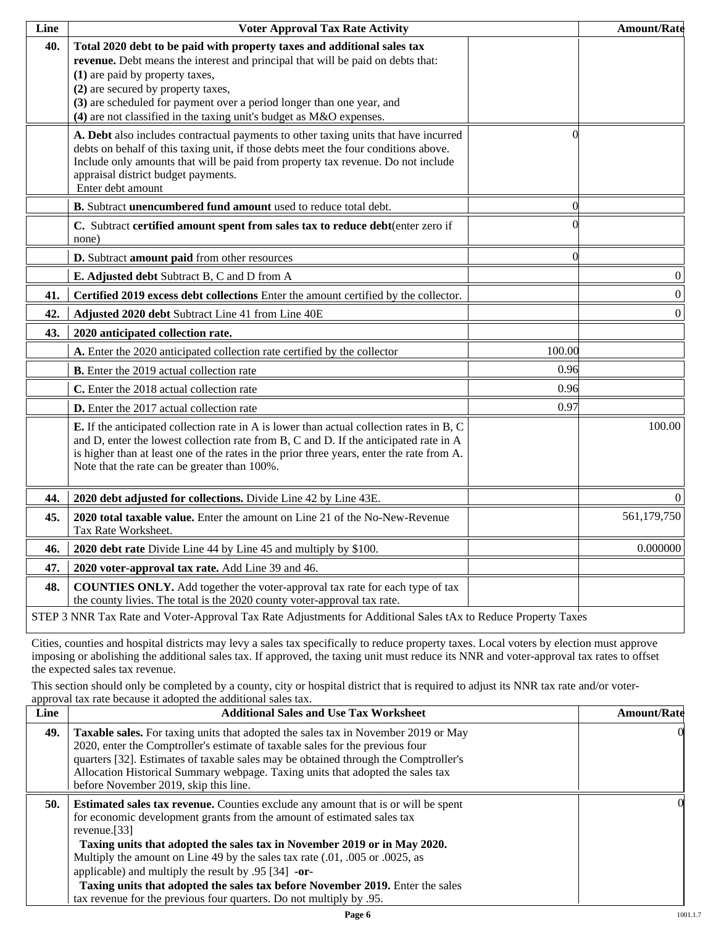| Line | <b>Voter Approval Tax Rate Activity</b>                                                                                                                                                                                                                                                                                                                                             |          | <b>Amount/Rate</b> |
|------|-------------------------------------------------------------------------------------------------------------------------------------------------------------------------------------------------------------------------------------------------------------------------------------------------------------------------------------------------------------------------------------|----------|--------------------|
| 40.  | Total 2020 debt to be paid with property taxes and additional sales tax<br>revenue. Debt means the interest and principal that will be paid on debts that:<br>(1) are paid by property taxes,<br>(2) are secured by property taxes,<br>(3) are scheduled for payment over a period longer than one year, and<br>(4) are not classified in the taxing unit's budget as M&O expenses. |          |                    |
|      | A. Debt also includes contractual payments to other taxing units that have incurred<br>debts on behalf of this taxing unit, if those debts meet the four conditions above.<br>Include only amounts that will be paid from property tax revenue. Do not include<br>appraisal district budget payments.<br>Enter debt amount                                                          | 0        |                    |
|      | B. Subtract unencumbered fund amount used to reduce total debt.                                                                                                                                                                                                                                                                                                                     | $\Omega$ |                    |
|      | C. Subtract certified amount spent from sales tax to reduce debt(enter zero if<br>none)                                                                                                                                                                                                                                                                                             |          |                    |
|      | D. Subtract amount paid from other resources                                                                                                                                                                                                                                                                                                                                        | $\Omega$ |                    |
|      | E. Adjusted debt Subtract B, C and D from A                                                                                                                                                                                                                                                                                                                                         |          | $\boldsymbol{0}$   |
| 41.  | Certified 2019 excess debt collections Enter the amount certified by the collector.                                                                                                                                                                                                                                                                                                 |          | $\vert 0 \vert$    |
| 42.  | Adjusted 2020 debt Subtract Line 41 from Line 40E                                                                                                                                                                                                                                                                                                                                   |          | $\overline{0}$     |
| 43.  | 2020 anticipated collection rate.                                                                                                                                                                                                                                                                                                                                                   |          |                    |
|      | A. Enter the 2020 anticipated collection rate certified by the collector                                                                                                                                                                                                                                                                                                            | 100.00   |                    |
|      | <b>B.</b> Enter the 2019 actual collection rate                                                                                                                                                                                                                                                                                                                                     | 0.96     |                    |
|      | C. Enter the 2018 actual collection rate                                                                                                                                                                                                                                                                                                                                            | 0.96     |                    |
|      | <b>D.</b> Enter the 2017 actual collection rate                                                                                                                                                                                                                                                                                                                                     | 0.97     |                    |
|      | E. If the anticipated collection rate in A is lower than actual collection rates in B, C<br>and D, enter the lowest collection rate from B, C and D. If the anticipated rate in A<br>is higher than at least one of the rates in the prior three years, enter the rate from A.<br>Note that the rate can be greater than 100%.                                                      |          | 100.00             |
| 44.  | 2020 debt adjusted for collections. Divide Line 42 by Line 43E.                                                                                                                                                                                                                                                                                                                     |          | $\Omega$           |
| 45.  | 2020 total taxable value. Enter the amount on Line 21 of the No-New-Revenue<br>Tax Rate Worksheet.                                                                                                                                                                                                                                                                                  |          | 561,179,750        |
| 46.  | 2020 debt rate Divide Line 44 by Line 45 and multiply by \$100.                                                                                                                                                                                                                                                                                                                     |          | 0.000000           |
| 47.  | 2020 voter-approval tax rate. Add Line 39 and 46.                                                                                                                                                                                                                                                                                                                                   |          |                    |
| 48.  | <b>COUNTIES ONLY.</b> Add together the voter-approval tax rate for each type of tax<br>the county livies. The total is the 2020 county voter-approval tax rate.                                                                                                                                                                                                                     |          |                    |
|      | STEP 3 NNR Tax Rate and Voter-Approval Tax Rate Adjustments for Additional Sales tAx to Reduce Property Taxes                                                                                                                                                                                                                                                                       |          |                    |

Cities, counties and hospital districts may levy a sales tax specifically to reduce property taxes. Local voters by election must approve imposing or abolishing the additional sales tax. If approved, the taxing unit must reduce its NNR and voter-approval tax rates to offset the expected sales tax revenue.

This section should only be completed by a county, city or hospital district that is required to adjust its NNR tax rate and/or voterapproval tax rate because it adopted the additional sales tax.

| <b>Additional Sales and Use Tax Worksheet</b>                                                                                                                                                                                                                                                                                                                                                                                                                                                | <b>Amount/Rate</b>                                                  |
|----------------------------------------------------------------------------------------------------------------------------------------------------------------------------------------------------------------------------------------------------------------------------------------------------------------------------------------------------------------------------------------------------------------------------------------------------------------------------------------------|---------------------------------------------------------------------|
| Taxable sales. For taxing units that adopted the sales tax in November 2019 or May<br>2020, enter the Comptroller's estimate of taxable sales for the previous four<br>quarters [32]. Estimates of taxable sales may be obtained through the Comptroller's<br>Allocation Historical Summary webpage. Taxing units that adopted the sales tax<br>before November 2019, skip this line.                                                                                                        | $\Omega$                                                            |
| <b>Estimated sales tax revenue.</b> Counties exclude any amount that is or will be spent<br>for economic development grants from the amount of estimated sales tax<br>revenue. $[33]$<br>Taxing units that adopted the sales tax in November 2019 or in May 2020.<br>Multiply the amount on Line 49 by the sales tax rate (.01, .005 or .0025, as<br>applicable) and multiply the result by $.95$ [34] -or-<br>Taxing units that adopted the sales tax before November 2019. Enter the sales | OI.                                                                 |
|                                                                                                                                                                                                                                                                                                                                                                                                                                                                                              | tax revenue for the previous four quarters. Do not multiply by .95. |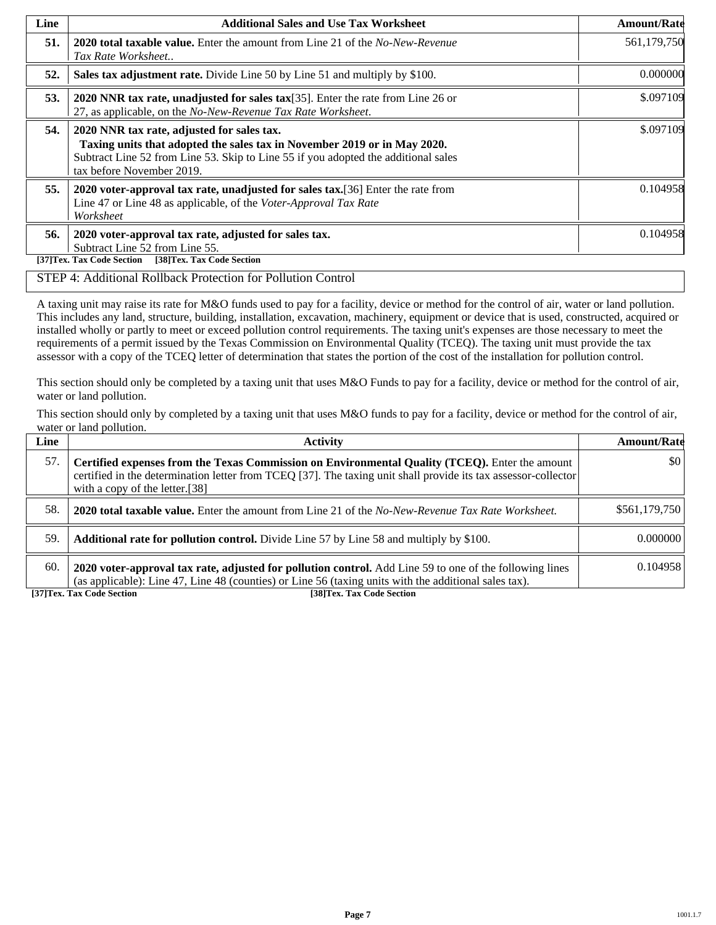| Line | <b>Additional Sales and Use Tax Worksheet</b>                                                                                                                                                                                             | <b>Amount/Rate</b> |
|------|-------------------------------------------------------------------------------------------------------------------------------------------------------------------------------------------------------------------------------------------|--------------------|
| 51.  | <b>2020 total taxable value.</b> Enter the amount from Line 21 of the <i>No-New-Revenue</i><br>Tax Rate Worksheet                                                                                                                         | 561,179,750        |
| 52.  | Sales tax adjustment rate. Divide Line 50 by Line 51 and multiply by \$100.                                                                                                                                                               | 0.000000           |
| 53.  | 2020 NNR tax rate, unadjusted for sales tax $[35]$ . Enter the rate from Line 26 or<br>27, as applicable, on the No-New-Revenue Tax Rate Worksheet.                                                                                       | \$.097109          |
| 54.  | 2020 NNR tax rate, adjusted for sales tax.<br>Taxing units that adopted the sales tax in November 2019 or in May 2020.<br>Subtract Line 52 from Line 53. Skip to Line 55 if you adopted the additional sales<br>tax before November 2019. | \$.097109          |
| 55.  | 2020 voter-approval tax rate, unadjusted for sales tax. [36] Enter the rate from<br>Line 47 or Line 48 as applicable, of the Voter-Approval Tax Rate<br>Worksheet                                                                         | 0.104958           |
| 56.  | 2020 voter-approval tax rate, adjusted for sales tax.<br>Subtract Line 52 from Line 55.<br>[38]Tex. Tax Code Section<br>[37]Tex. Tax Code Section                                                                                         | 0.104958           |

#### STEP 4: Additional Rollback Protection for Pollution Control

A taxing unit may raise its rate for M&O funds used to pay for a facility, device or method for the control of air, water or land pollution. This includes any land, structure, building, installation, excavation, machinery, equipment or device that is used, constructed, acquired or installed wholly or partly to meet or exceed pollution control requirements. The taxing unit's expenses are those necessary to meet the requirements of a permit issued by the Texas Commission on Environmental Quality (TCEQ). The taxing unit must provide the tax assessor with a copy of the TCEQ letter of determination that states the portion of the cost of the installation for pollution control.

This section should only be completed by a taxing unit that uses M&O Funds to pay for a facility, device or method for the control of air, water or land pollution.

This section should only by completed by a taxing unit that uses M&O funds to pay for a facility, device or method for the control of air, water or land pollution.

| Line | <b>Activity</b>                                                                                                                                                                                                                                    | <b>Amount/Rate</b>  |
|------|----------------------------------------------------------------------------------------------------------------------------------------------------------------------------------------------------------------------------------------------------|---------------------|
| 57.  | Certified expenses from the Texas Commission on Environmental Quality (TCEQ). Enter the amount<br>certified in the determination letter from TCEQ [37]. The taxing unit shall provide its tax assessor-collector<br>with a copy of the letter.[38] | $\vert$ \$0 $\vert$ |
| 58.  | <b>2020 total taxable value.</b> Enter the amount from Line 21 of the No-New-Revenue Tax Rate Worksheet.                                                                                                                                           | \$561,179,750       |
| 59.  | <b>Additional rate for pollution control.</b> Divide Line 57 by Line 58 and multiply by \$100.                                                                                                                                                     | 0.000000            |
| 60.  | 2020 voter-approval tax rate, adjusted for pollution control. Add Line 59 to one of the following lines<br>(as applicable): Line 47, Line 48 (counties) or Line 56 (taxing units with the additional sales tax).                                   | 0.104958            |

**[37]Tex. Tax Code Section [38]Tex. Tax Code Section**